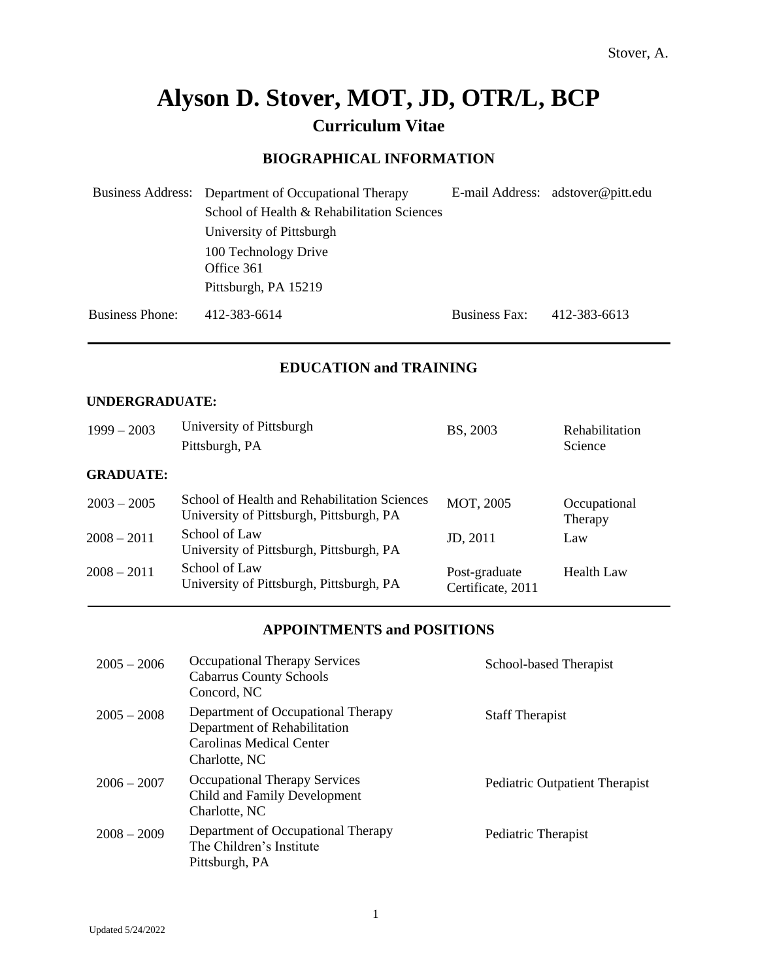# **Alyson D. Stover, MOT, JD, OTR/L, BCP Curriculum Vitae**

# **BIOGRAPHICAL INFORMATION**

|                        | Business Address: Department of Occupational Therapy |                      | E-mail Address: adstover@pitt.edu |
|------------------------|------------------------------------------------------|----------------------|-----------------------------------|
|                        | School of Health & Rehabilitation Sciences           |                      |                                   |
|                        | University of Pittsburgh                             |                      |                                   |
|                        | 100 Technology Drive                                 |                      |                                   |
|                        | Office 361                                           |                      |                                   |
|                        | Pittsburgh, PA 15219                                 |                      |                                   |
| <b>Business Phone:</b> | 412-383-6614                                         | <b>Business Fax:</b> | 412-383-6613                      |

# **EDUCATION and TRAINING**

#### **UNDERGRADUATE:**

| $1999 - 2003$    | University of Pittsburgh<br>Pittsburgh, PA                                               | BS, 2003                           | Rehabilitation<br>Science |
|------------------|------------------------------------------------------------------------------------------|------------------------------------|---------------------------|
| <b>GRADUATE:</b> |                                                                                          |                                    |                           |
| $2003 - 2005$    | School of Health and Rehabilitation Sciences<br>University of Pittsburgh, Pittsburgh, PA | MOT, 2005                          | Occupational<br>Therapy   |
| $2008 - 2011$    | School of Law<br>University of Pittsburgh, Pittsburgh, PA                                | JD, 2011                           | Law                       |
| $2008 - 2011$    | School of Law<br>University of Pittsburgh, Pittsburgh, PA                                | Post-graduate<br>Certificate, 2011 | <b>Health Law</b>         |

# **APPOINTMENTS and POSITIONS**

| $2005 - 2006$ | <b>Occupational Therapy Services</b><br><b>Cabarrus County Schools</b><br>Concord, NC                           | School-based Therapist         |
|---------------|-----------------------------------------------------------------------------------------------------------------|--------------------------------|
| $2005 - 2008$ | Department of Occupational Therapy<br>Department of Rehabilitation<br>Carolinas Medical Center<br>Charlotte, NC | <b>Staff Therapist</b>         |
| $2006 - 2007$ | <b>Occupational Therapy Services</b><br>Child and Family Development<br>Charlotte, NC                           | Pediatric Outpatient Therapist |
| $2008 - 2009$ | Department of Occupational Therapy<br>The Children's Institute<br>Pittsburgh, PA                                | Pediatric Therapist            |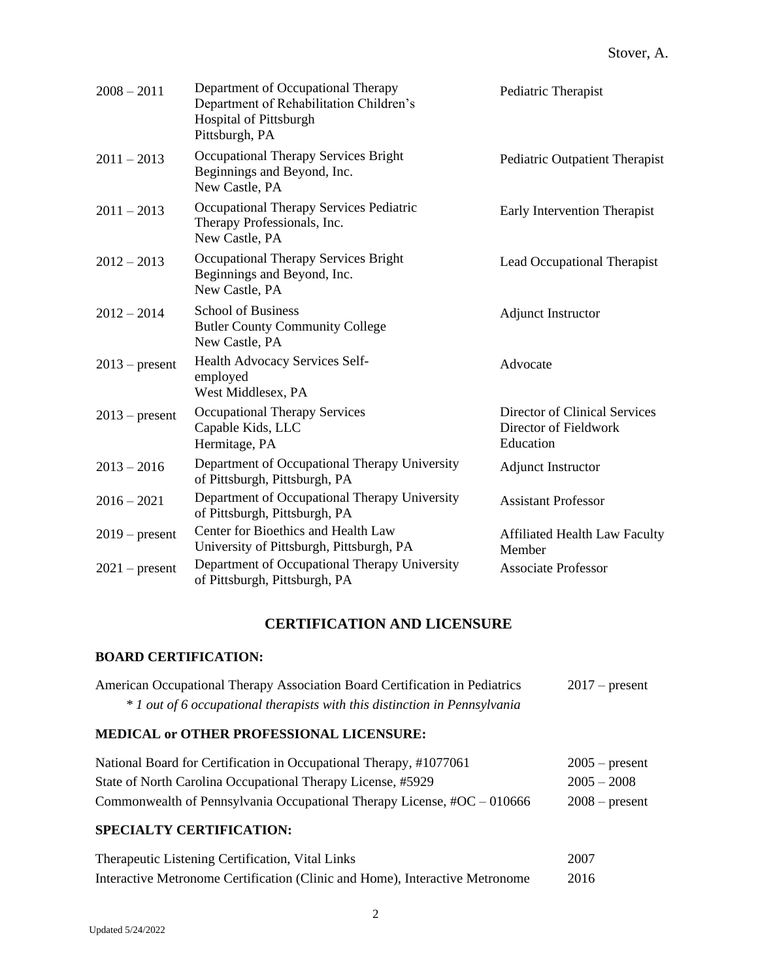| $2008 - 2011$    | Department of Occupational Therapy<br>Department of Rehabilitation Children's<br><b>Hospital of Pittsburgh</b><br>Pittsburgh, PA | Pediatric Therapist                                                 |
|------------------|----------------------------------------------------------------------------------------------------------------------------------|---------------------------------------------------------------------|
| $2011 - 2013$    | Occupational Therapy Services Bright<br>Beginnings and Beyond, Inc.<br>New Castle, PA                                            | Pediatric Outpatient Therapist                                      |
| $2011 - 2013$    | Occupational Therapy Services Pediatric<br>Therapy Professionals, Inc.<br>New Castle, PA                                         | Early Intervention Therapist                                        |
| $2012 - 2013$    | Occupational Therapy Services Bright<br>Beginnings and Beyond, Inc.<br>New Castle, PA                                            | Lead Occupational Therapist                                         |
| $2012 - 2014$    | <b>School of Business</b><br><b>Butler County Community College</b><br>New Castle, PA                                            | <b>Adjunct Instructor</b>                                           |
| $2013$ – present | Health Advocacy Services Self-<br>employed<br>West Middlesex, PA                                                                 | Advocate                                                            |
| $2013$ – present | <b>Occupational Therapy Services</b><br>Capable Kids, LLC<br>Hermitage, PA                                                       | Director of Clinical Services<br>Director of Fieldwork<br>Education |
| $2013 - 2016$    | Department of Occupational Therapy University<br>of Pittsburgh, Pittsburgh, PA                                                   | <b>Adjunct Instructor</b>                                           |
| $2016 - 2021$    | Department of Occupational Therapy University<br>of Pittsburgh, Pittsburgh, PA                                                   | <b>Assistant Professor</b>                                          |
| $2019$ – present | Center for Bioethics and Health Law<br>University of Pittsburgh, Pittsburgh, PA                                                  | <b>Affiliated Health Law Faculty</b><br>Member                      |
| $2021$ – present | Department of Occupational Therapy University<br>of Pittsburgh, Pittsburgh, PA                                                   | <b>Associate Professor</b>                                          |

# **CERTIFICATION AND LICENSURE**

# **BOARD CERTIFICATION:**

| American Occupational Therapy Association Board Certification in Pediatrics | $2017$ – present |
|-----------------------------------------------------------------------------|------------------|
| $*1$ out of 6 occupational therapists with this distinction in Pennsylvania |                  |

# **MEDICAL or OTHER PROFESSIONAL LICENSURE:**

| National Board for Certification in Occupational Therapy, #1077061         | $2005$ – present |
|----------------------------------------------------------------------------|------------------|
| State of North Carolina Occupational Therapy License, #5929                | $2005 - 2008$    |
| Commonwealth of Pennsylvania Occupational Therapy License, $\#OC - 010666$ | $2008$ – present |

# **SPECIALTY CERTIFICATION:**

| Therapeutic Listening Certification, Vital Links                             | 2007 |
|------------------------------------------------------------------------------|------|
| Interactive Metronome Certification (Clinic and Home), Interactive Metronome | 2016 |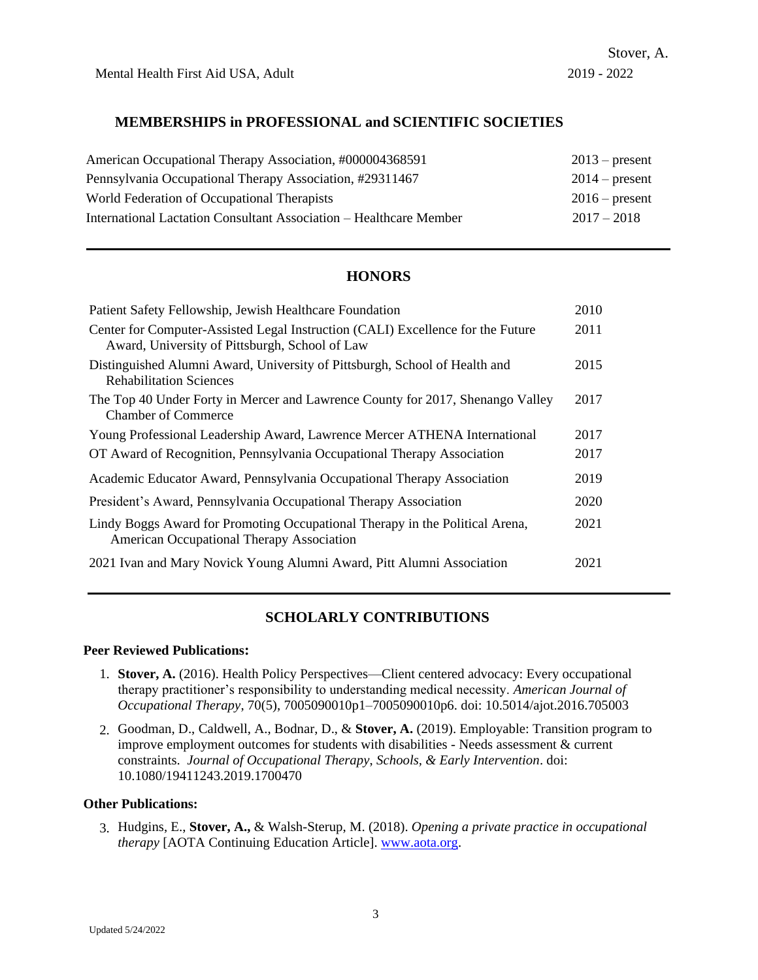Mental Health First Aid USA, Adult 2019 - 2022

# **MEMBERSHIPS in PROFESSIONAL and SCIENTIFIC SOCIETIES**

| American Occupational Therapy Association, #000004368591           | $2013$ – present |
|--------------------------------------------------------------------|------------------|
| Pennsylvania Occupational Therapy Association, #29311467           | $2014$ – present |
| World Federation of Occupational Therapists                        | $2016$ – present |
| International Lactation Consultant Association – Healthcare Member | $2017 - 2018$    |

# **HONORS**

| Patient Safety Fellowship, Jewish Healthcare Foundation                                                                           | 2010 |
|-----------------------------------------------------------------------------------------------------------------------------------|------|
| Center for Computer-Assisted Legal Instruction (CALI) Excellence for the Future<br>Award, University of Pittsburgh, School of Law | 2011 |
| Distinguished Alumni Award, University of Pittsburgh, School of Health and<br><b>Rehabilitation Sciences</b>                      | 2015 |
| The Top 40 Under Forty in Mercer and Lawrence County for 2017, Shenango Valley<br><b>Chamber of Commerce</b>                      | 2017 |
| Young Professional Leadership Award, Lawrence Mercer ATHENA International                                                         | 2017 |
| OT Award of Recognition, Pennsylvania Occupational Therapy Association                                                            | 2017 |
| Academic Educator Award, Pennsylvania Occupational Therapy Association                                                            | 2019 |
| President's Award, Pennsylvania Occupational Therapy Association                                                                  | 2020 |
| Lindy Boggs Award for Promoting Occupational Therapy in the Political Arena,<br>American Occupational Therapy Association         | 2021 |
| 2021 Ivan and Mary Novick Young Alumni Award, Pitt Alumni Association                                                             | 2021 |

# **SCHOLARLY CONTRIBUTIONS**

#### **Peer Reviewed Publications:**

- 1. **Stover, A.** (2016). Health Policy Perspectives—Client centered advocacy: Every occupational therapy practitioner's responsibility to understanding medical necessity. *American Journal of Occupational Therapy*, 70(5), 7005090010p1–7005090010p6. doi: 10.5014/ajot.2016.705003
- 2. Goodman, D., Caldwell, A., Bodnar, D., & **Stover, A.** (2019). Employable: Transition program to improve employment outcomes for students with disabilities - Needs assessment & current constraints. *Journal of Occupational Therapy*, *Schools, & Early Intervention*. doi: 10.1080/19411243.2019.1700470

#### **Other Publications:**

3. Hudgins, E., **Stover, A.,** & Walsh-Sterup, M. (2018). *Opening a private practice in occupational therapy* [AOTA Continuing Education Article]. [www.aota.org.](http://www.aota.org/)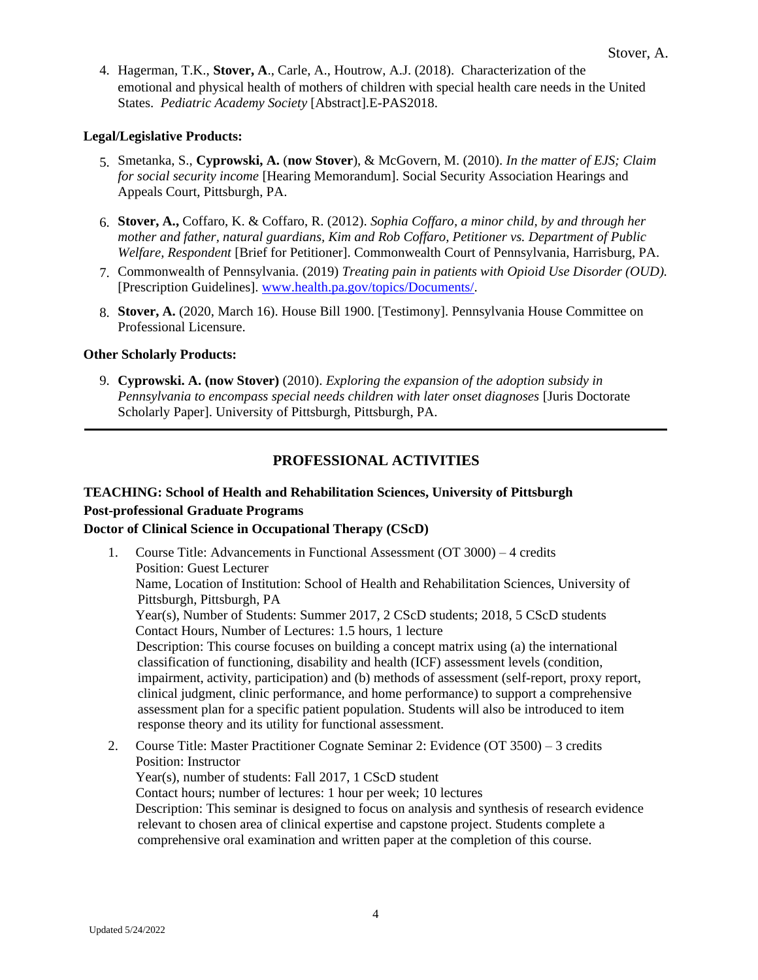4. Hagerman, T.K., **Stover, A**., Carle, A., Houtrow, A.J. (2018). Characterization of the emotional and physical health of mothers of children with special health care needs in the United States. *Pediatric Academy Society* [Abstract].E-PAS2018.

# **Legal/Legislative Products:**

- 5. Smetanka, S., **Cyprowski, A.** (**now Stover**), & McGovern, M. (2010). *In the matter of EJS; Claim for social security income* [Hearing Memorandum]. Social Security Association Hearings and Appeals Court, Pittsburgh, PA.
- 6. **Stover, A.,** Coffaro, K. & Coffaro, R. (2012). *Sophia Coffaro, a minor child, by and through her mother and father, natural guardians, Kim and Rob Coffaro, Petitioner vs. Department of Public Welfare, Respondent* [Brief for Petitioner]. Commonwealth Court of Pennsylvania, Harrisburg, PA.
- 7. Commonwealth of Pennsylvania. (2019) *Treating pain in patients with Opioid Use Disorder (OUD).* [Prescription Guidelines]. [www.health.pa.gov/topics/Documents/.](http://www.health.pa.gov/topics/Documents/)
- 8. **Stover, A.** (2020, March 16). House Bill 1900. [Testimony]. Pennsylvania House Committee on Professional Licensure.

#### **Other Scholarly Products:**

9. **Cyprowski. A. (now Stover)** (2010). *Exploring the expansion of the adoption subsidy in Pennsylvania to encompass special needs children with later onset diagnoses* [Juris Doctorate Scholarly Paper]. University of Pittsburgh, Pittsburgh, PA.

# **PROFESSIONAL ACTIVITIES**

# **TEACHING: School of Health and Rehabilitation Sciences, University of Pittsburgh Post-professional Graduate Programs Doctor of Clinical Science in Occupational Therapy (CScD)**

- 1. Course Title: Advancements in Functional Assessment (OT 3000) 4 credits Position: Guest Lecturer Name, Location of Institution: School of Health and Rehabilitation Sciences, University of Pittsburgh, Pittsburgh, PA Year(s), Number of Students: Summer 2017, 2 CScD students; 2018, 5 CScD students Contact Hours, Number of Lectures: 1.5 hours, 1 lecture Description: This course focuses on building a concept matrix using (a) the international classification of functioning, disability and health (ICF) assessment levels (condition, impairment, activity, participation) and (b) methods of assessment (self-report, proxy report, clinical judgment, clinic performance, and home performance) to support a comprehensive assessment plan for a specific patient population. Students will also be introduced to item response theory and its utility for functional assessment.
- 2. Course Title: Master Practitioner Cognate Seminar 2: Evidence (OT 3500) 3 credits Position: Instructor Year(s), number of students: Fall 2017, 1 CScD student Contact hours; number of lectures: 1 hour per week; 10 lectures Description: This seminar is designed to focus on analysis and synthesis of research evidence relevant to chosen area of clinical expertise and capstone project. Students complete a comprehensive oral examination and written paper at the completion of this course.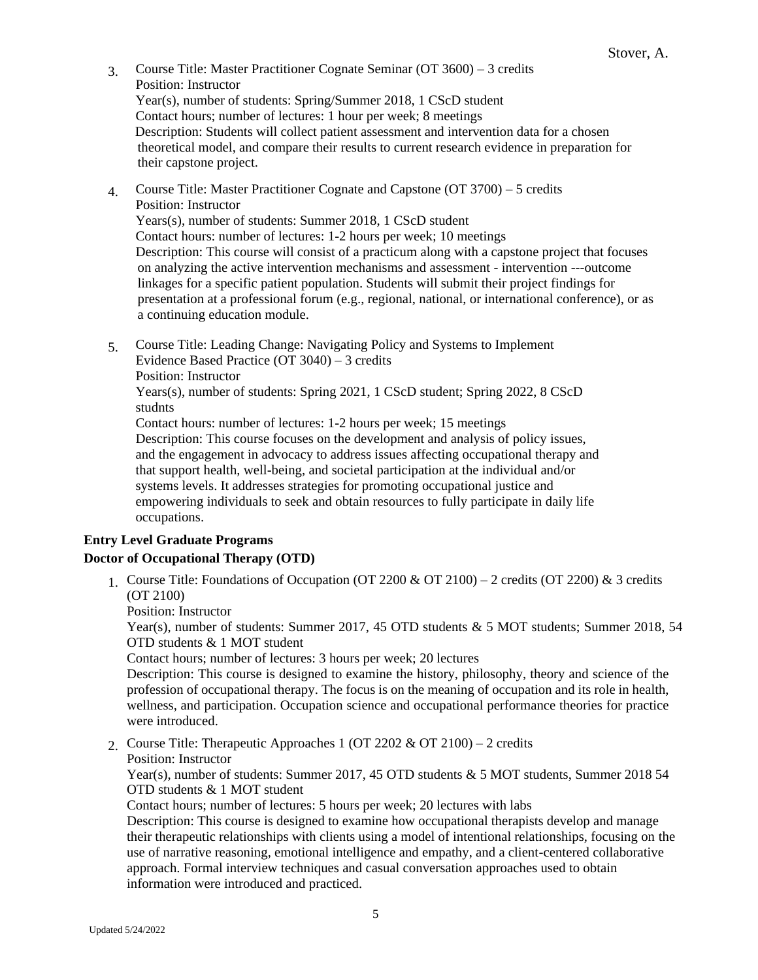- 3. Course Title: Master Practitioner Cognate Seminar (OT 3600) 3 credits Position: Instructor Year(s), number of students: Spring/Summer 2018, 1 CScD student Contact hours; number of lectures: 1 hour per week; 8 meetings Description: Students will collect patient assessment and intervention data for a chosen theoretical model, and compare their results to current research evidence in preparation for their capstone project.
- 4. Course Title: Master Practitioner Cognate and Capstone (OT 3700) 5 credits Position: Instructor

Years(s), number of students: Summer 2018, 1 CScD student Contact hours: number of lectures: 1-2 hours per week; 10 meetings Description: This course will consist of a practicum along with a capstone project that focuses on analyzing the active intervention mechanisms and assessment - intervention ---outcome linkages for a specific patient population. Students will submit their project findings for presentation at a professional forum (e.g., regional, national, or international conference), or as a continuing education module.

5. Course Title: Leading Change: Navigating Policy and Systems to Implement Evidence Based Practice (OT 3040) – 3 credits Position: Instructor Years(s), number of students: Spring 2021, 1 CScD student; Spring 2022, 8 CScD studnts

Contact hours: number of lectures: 1-2 hours per week; 15 meetings Description: This course focuses on the development and analysis of policy issues, and the engagement in advocacy to address issues affecting occupational therapy and that support health, well-being, and societal participation at the individual and/or systems levels. It addresses strategies for promoting occupational justice and empowering individuals to seek and obtain resources to fully participate in daily life occupations.

# **Entry Level Graduate Programs**

# **Doctor of Occupational Therapy (OTD)**

1. Course Title: Foundations of Occupation (OT 2200  $\&$  OT 2100) – 2 credits (OT 2200)  $\&$  3 credits (OT 2100)

Position: Instructor

Year(s), number of students: Summer 2017, 45 OTD students & 5 MOT students; Summer 2018, 54 OTD students & 1 MOT student

Contact hours; number of lectures: 3 hours per week; 20 lectures

Description: This course is designed to examine the history, philosophy, theory and science of the profession of occupational therapy. The focus is on the meaning of occupation and its role in health, wellness, and participation. Occupation science and occupational performance theories for practice were introduced.

2. Course Title: Therapeutic Approaches 1 (OT 2202  $&$  OT 2100) – 2 credits Position: Instructor

Year(s), number of students: Summer 2017, 45 OTD students & 5 MOT students, Summer 2018 54 OTD students & 1 MOT student

Contact hours; number of lectures: 5 hours per week; 20 lectures with labs

Description: This course is designed to examine how occupational therapists develop and manage their therapeutic relationships with clients using a model of intentional relationships, focusing on the use of narrative reasoning, emotional intelligence and empathy, and a client-centered collaborative approach. Formal interview techniques and casual conversation approaches used to obtain information were introduced and practiced.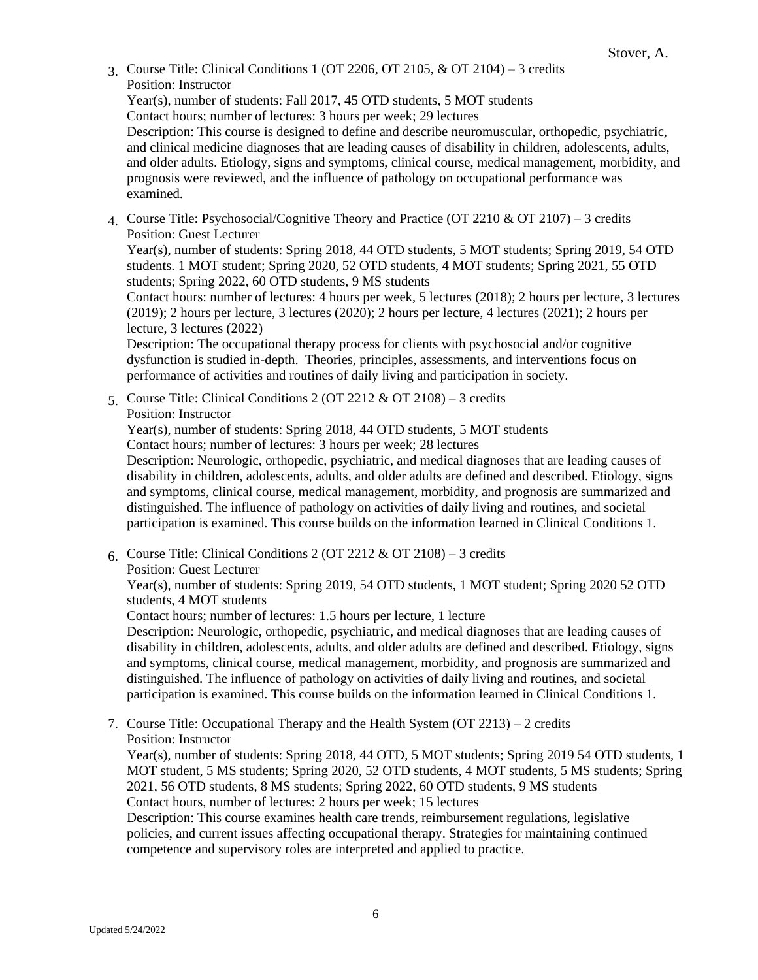3 Course Title: Clinical Conditions 1 (OT 2206, OT 2105,  $&$  OT 2104) – 3 credits Position: Instructor

Year(s), number of students: Fall 2017, 45 OTD students, 5 MOT students Contact hours; number of lectures: 3 hours per week; 29 lectures Description: This course is designed to define and describe neuromuscular, orthopedic, psychiatric,

and clinical medicine diagnoses that are leading causes of disability in children, adolescents, adults, and older adults. Etiology, signs and symptoms, clinical course, medical management, morbidity, and prognosis were reviewed, and the influence of pathology on occupational performance was examined.

4. Course Title: Psychosocial/Cognitive Theory and Practice (OT 2210 & OT 2107) – 3 credits Position: Guest Lecturer

Year(s), number of students: Spring 2018, 44 OTD students, 5 MOT students; Spring 2019, 54 OTD students. 1 MOT student; Spring 2020, 52 OTD students, 4 MOT students; Spring 2021, 55 OTD students; Spring 2022, 60 OTD students, 9 MS students

Contact hours: number of lectures: 4 hours per week, 5 lectures (2018); 2 hours per lecture, 3 lectures (2019); 2 hours per lecture, 3 lectures (2020); 2 hours per lecture, 4 lectures (2021); 2 hours per lecture, 3 lectures (2022)

Description: The occupational therapy process for clients with psychosocial and/or cognitive dysfunction is studied in-depth. Theories, principles, assessments, and interventions focus on performance of activities and routines of daily living and participation in society.

5. Course Title: Clinical Conditions 2 (OT 2212  $\&$  OT 2108) – 3 credits Position: Instructor

Year(s), number of students: Spring 2018, 44 OTD students, 5 MOT students Contact hours; number of lectures: 3 hours per week; 28 lectures

Description: Neurologic, orthopedic, psychiatric, and medical diagnoses that are leading causes of disability in children, adolescents, adults, and older adults are defined and described. Etiology, signs and symptoms, clinical course, medical management, morbidity, and prognosis are summarized and distinguished. The influence of pathology on activities of daily living and routines, and societal participation is examined. This course builds on the information learned in Clinical Conditions 1.

6. Course Title: Clinical Conditions 2 (OT 2212 & OT 2108) – 3 credits Position: Guest Lecturer

Year(s), number of students: Spring 2019, 54 OTD students, 1 MOT student; Spring 2020 52 OTD students, 4 MOT students

Contact hours; number of lectures: 1.5 hours per lecture, 1 lecture

Description: Neurologic, orthopedic, psychiatric, and medical diagnoses that are leading causes of disability in children, adolescents, adults, and older adults are defined and described. Etiology, signs and symptoms, clinical course, medical management, morbidity, and prognosis are summarized and distinguished. The influence of pathology on activities of daily living and routines, and societal participation is examined. This course builds on the information learned in Clinical Conditions 1.

7. Course Title: Occupational Therapy and the Health System (OT 2213) – 2 credits Position: Instructor

Year(s), number of students: Spring 2018, 44 OTD, 5 MOT students; Spring 2019 54 OTD students, 1 MOT student, 5 MS students; Spring 2020, 52 OTD students, 4 MOT students, 5 MS students; Spring 2021, 56 OTD students, 8 MS students; Spring 2022, 60 OTD students, 9 MS students Contact hours, number of lectures: 2 hours per week; 15 lectures

Description: This course examines health care trends, reimbursement regulations, legislative policies, and current issues affecting occupational therapy. Strategies for maintaining continued competence and supervisory roles are interpreted and applied to practice.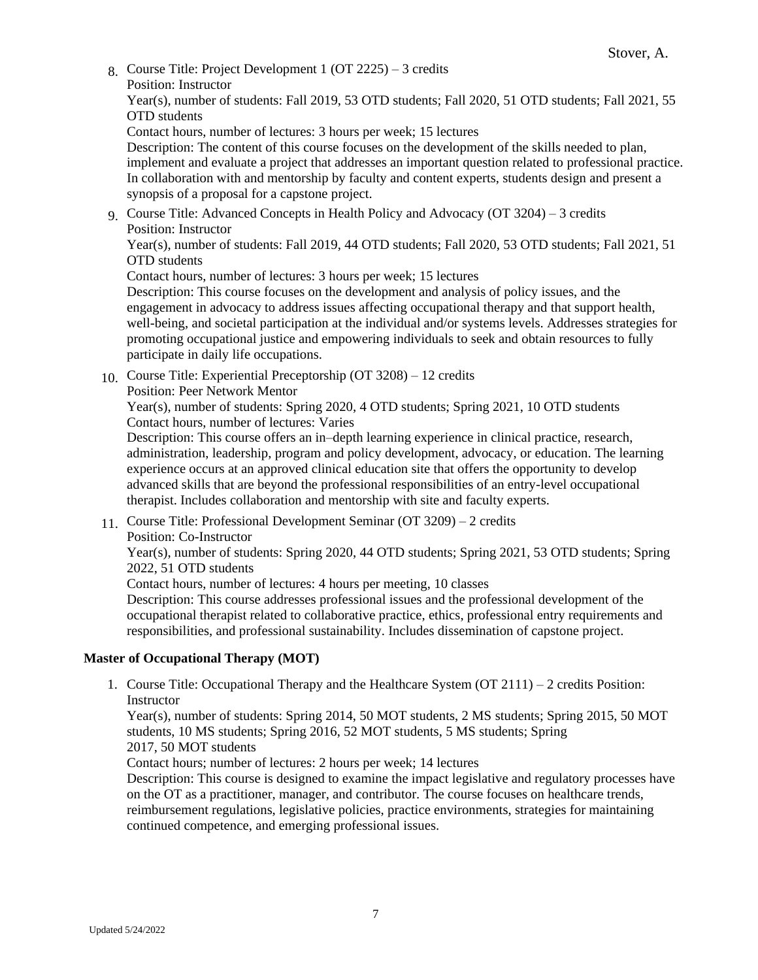8. Course Title: Project Development 1 (OT 2225) – 3 credits Position: Instructor

Year(s), number of students: Fall 2019, 53 OTD students; Fall 2020, 51 OTD students; Fall 2021, 55 OTD students

Contact hours, number of lectures: 3 hours per week; 15 lectures

Description: The content of this course focuses on the development of the skills needed to plan, implement and evaluate a project that addresses an important question related to professional practice. In collaboration with and mentorship by faculty and content experts, students design and present a synopsis of a proposal for a capstone project.

9. Course Title: Advanced Concepts in Health Policy and Advocacy (OT 3204) – 3 credits Position: Instructor

Year(s), number of students: Fall 2019, 44 OTD students; Fall 2020, 53 OTD students; Fall 2021, 51 OTD students

Contact hours, number of lectures: 3 hours per week; 15 lectures

Description: This course focuses on the development and analysis of policy issues, and the engagement in advocacy to address issues affecting occupational therapy and that support health, well-being, and societal participation at the individual and/or systems levels. Addresses strategies for promoting occupational justice and empowering individuals to seek and obtain resources to fully participate in daily life occupations.

10. Course Title: Experiential Preceptorship (OT 3208) – 12 credits Position: Peer Network Mentor

Year(s), number of students: Spring 2020, 4 OTD students; Spring 2021, 10 OTD students Contact hours, number of lectures: Varies

Description: This course offers an in–depth learning experience in clinical practice, research, administration, leadership, program and policy development, advocacy, or education. The learning experience occurs at an approved clinical education site that offers the opportunity to develop advanced skills that are beyond the professional responsibilities of an entry-level occupational therapist. Includes collaboration and mentorship with site and faculty experts.

11. Course Title: Professional Development Seminar (OT 3209) – 2 credits Position: Co-Instructor

Year(s), number of students: Spring 2020, 44 OTD students; Spring 2021, 53 OTD students; Spring 2022, 51 OTD students

Contact hours, number of lectures: 4 hours per meeting, 10 classes

Description: This course addresses professional issues and the professional development of the occupational therapist related to collaborative practice, ethics, professional entry requirements and responsibilities, and professional sustainability. Includes dissemination of capstone project.

# **Master of Occupational Therapy (MOT)**

1. Course Title: Occupational Therapy and the Healthcare System (OT 2111) – 2 credits Position: **Instructor** 

**Mastricion**<br>Year(s), number of students: Spring 2014, 50 MOT students, 2 MS students; Spring 2015, 50 MOT students, 10 MS students; Spring 2016, 52 MOT students, 5 MS students; Spring 2017, 50 MOT students

Contact hours; number of lectures: 2 hours per week; 14 lectures

Description: This course is designed to examine the impact legislative and regulatory processes have on the OT as a practitioner, manager, and contributor. The course focuses on healthcare trends, reimbursement regulations, legislative policies, practice environments, strategies for maintaining continued competence, and emerging professional issues.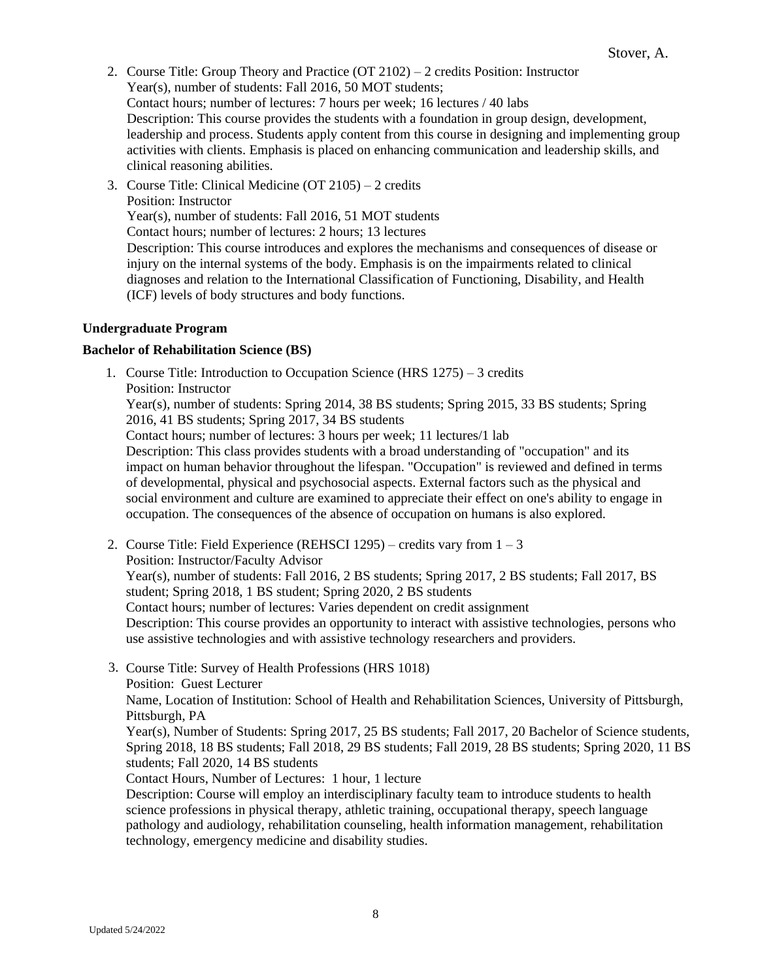- 2. Course Title: Group Theory and Practice (OT 2102) 2 credits Position: Instructor Year(s), number of students: Fall 2016, 50 MOT students; Contact hours; number of lectures: 7 hours per week; 16 lectures / 40 labs Description: This course provides the students with a foundation in group design, development, leadership and process. Students apply content from this course in designing and implementing group activities with clients. Emphasis is placed on enhancing communication and leadership skills, and clinical reasoning abilities.
- 3. Course Title: Clinical Medicine (OT 2105) 2 credits Position: Instructor Year(s), number of students: Fall 2016, 51 MOT students Contact hours; number of lectures: 2 hours; 13 lectures Description: This course introduces and explores the mechanisms and consequences of disease or injury on the internal systems of the body. Emphasis is on the impairments related to clinical diagnoses and relation to the International Classification of Functioning, Disability, and Health (ICF) levels of body structures and body functions.

#### **Undergraduate Program**

#### **Bachelor of Rehabilitation Science (BS)**

1. Course Title: Introduction to Occupation Science (HRS 1275) – 3 credits Position: Instructor

Year(s), number of students: Spring 2014, 38 BS students; Spring 2015, 33 BS students; Spring 2016, 41 BS students; Spring 2017, 34 BS students

Contact hours; number of lectures: 3 hours per week; 11 lectures/1 lab

Description: This class provides students with a broad understanding of "occupation" and its impact on human behavior throughout the lifespan. "Occupation" is reviewed and defined in terms of developmental, physical and psychosocial aspects. External factors such as the physical and social environment and culture are examined to appreciate their effect on one's ability to engage in occupation. The consequences of the absence of occupation on humans is also explored.

- 2. Course Title: Field Experience (REHSCI 1295) credits vary from  $1 3$ Position: Instructor/Faculty Advisor Year(s), number of students: Fall 2016, 2 BS students; Spring 2017, 2 BS students; Fall 2017, BS student; Spring 2018, 1 BS student; Spring 2020, 2 BS students Contact hours; number of lectures: Varies dependent on credit assignment Description: This course provides an opportunity to interact with assistive technologies, persons who use assistive technologies and with assistive technology researchers and providers.
- 3. Course Title: Survey of Health Professions (HRS 1018)

Position: Guest Lecturer

Name, Location of Institution: School of Health and Rehabilitation Sciences, University of Pittsburgh, Pittsburgh, PA

Year(s), Number of Students: Spring 2017, 25 BS students; Fall 2017, 20 Bachelor of Science students, Spring 2018, 18 BS students; Fall 2018, 29 BS students; Fall 2019, 28 BS students; Spring 2020, 11 BS students; Fall 2020, 14 BS students

Contact Hours, Number of Lectures: 1 hour, 1 lecture

Description: Course will employ an interdisciplinary faculty team to introduce students to health science professions in physical therapy, athletic training, occupational therapy, speech language pathology and audiology, rehabilitation counseling, health information management, rehabilitation technology, emergency medicine and disability studies.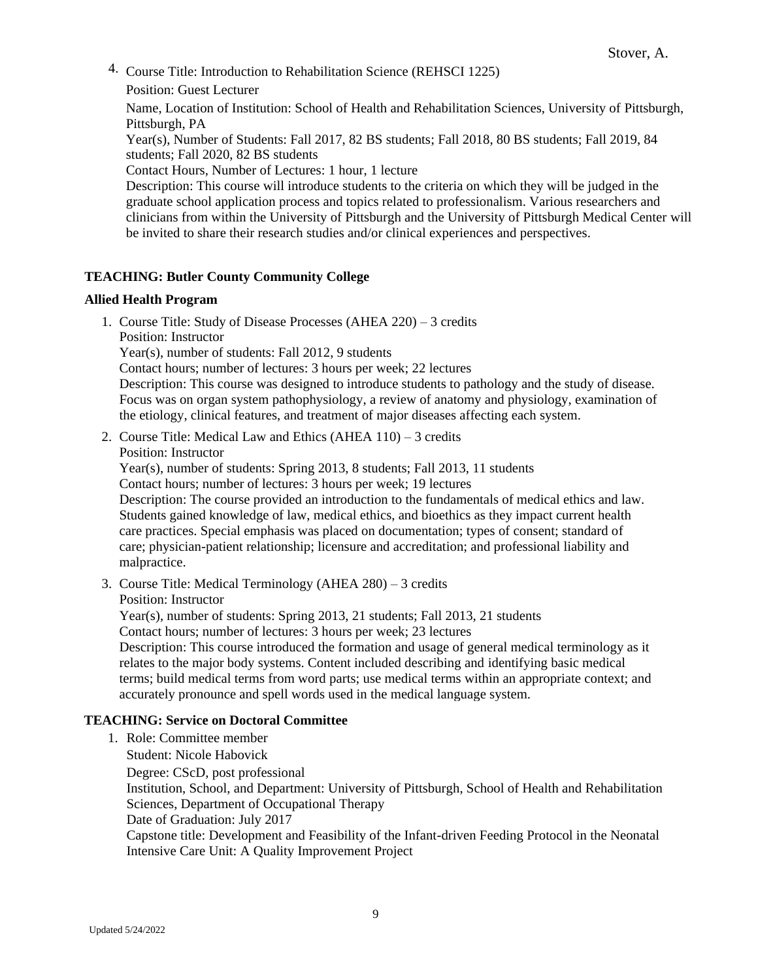4. Course Title: Introduction to Rehabilitation Science (REHSCI 1225)

Position: Guest Lecturer

Name, Location of Institution: School of Health and Rehabilitation Sciences, University of Pittsburgh, Pittsburgh, PA

Year(s), Number of Students: Fall 2017, 82 BS students; Fall 2018, 80 BS students; Fall 2019, 84 students; Fall 2020, 82 BS students

Contact Hours, Number of Lectures: 1 hour, 1 lecture

Description: This course will introduce students to the criteria on which they will be judged in the graduate school application process and topics related to professionalism. Various researchers and clinicians from within the University of Pittsburgh and the University of Pittsburgh Medical Center will be invited to share their research studies and/or clinical experiences and perspectives.

# **TEACHING: Butler County Community College**

#### **Allied Health Program**

1. Course Title: Study of Disease Processes (AHEA 220) – 3 credits Position: Instructor Year(s), number of students: Fall 2012, 9 students Contact hours; number of lectures: 3 hours per week; 22 lectures Description: This course was designed to introduce students to pathology and the study of disease. Focus was on organ system pathophysiology, a review of anatomy and physiology, examination of

the etiology, clinical features, and treatment of major diseases affecting each system.

- 2. Course Title: Medical Law and Ethics (AHEA 110) 3 credits Position: Instructor Year(s), number of students: Spring 2013, 8 students; Fall 2013, 11 students Contact hours; number of lectures: 3 hours per week; 19 lectures Description: The course provided an introduction to the fundamentals of medical ethics and law. Students gained knowledge of law, medical ethics, and bioethics as they impact current health care practices. Special emphasis was placed on documentation; types of consent; standard of care; physician-patient relationship; licensure and accreditation; and professional liability and malpractice.
- 3. Course Title: Medical Terminology (AHEA 280) 3 credits Position: Instructor Year(s), number of students: Spring 2013, 21 students; Fall 2013, 21 students Contact hours; number of lectures: 3 hours per week; 23 lectures Description: This course introduced the formation and usage of general medical terminology as it relates to the major body systems. Content included describing and identifying basic medical terms; build medical terms from word parts; use medical terms within an appropriate context; and accurately pronounce and spell words used in the medical language system.

#### **TEACHING: Service on Doctoral Committee**

1. Role: Committee member Student: Nicole Habovick Degree: CScD, post professional Institution, School, and Department: University of Pittsburgh, School of Health and Rehabilitation Sciences, Department of Occupational Therapy Date of Graduation: July 2017 Capstone title: Development and Feasibility of the Infant-driven Feeding Protocol in the Neonatal Intensive Care Unit: A Quality Improvement Project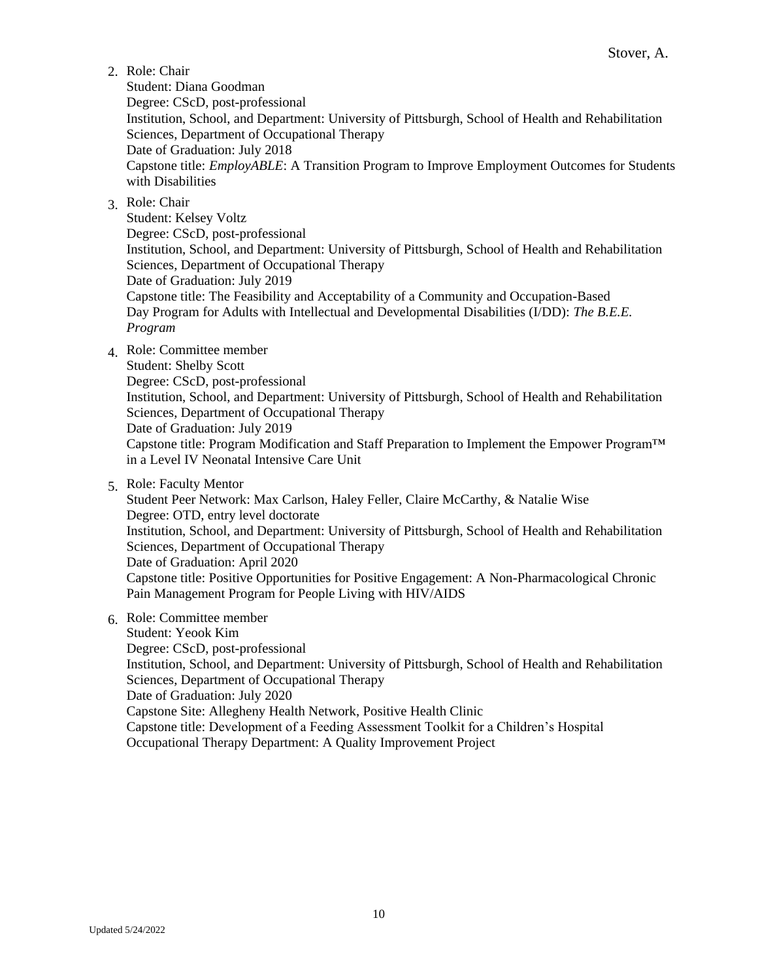# 2. Role: Chair

Student: Diana Goodman Degree: CScD, post-professional Institution, School, and Department: University of Pittsburgh, School of Health and Rehabilitation Sciences, Department of Occupational Therapy Date of Graduation: July 2018 Capstone title: *EmployABLE*: A Transition Program to Improve Employment Outcomes for Students with Disabilities

# 3. Role: Chair

Student: Kelsey Voltz Degree: CScD, post-professional Institution, School, and Department: University of Pittsburgh, School of Health and Rehabilitation Sciences, Department of Occupational Therapy Date of Graduation: July 2019 Capstone title: The Feasibility and Acceptability of a Community and Occupation-Based Day Program for Adults with Intellectual and Developmental Disabilities (I/DD): *The B.E.E. Program*

4. Role: Committee member

Student: Shelby Scott

Degree: CScD, post-professional Institution, School, and Department: University of Pittsburgh, School of Health and Rehabilitation Sciences, Department of Occupational Therapy Date of Graduation: July 2019 Capstone title: Program Modification and Staff Preparation to Implement the Empower Program™ in a Level IV Neonatal Intensive Care Unit

5. Role: Faculty Mentor

Student Peer Network: Max Carlson, Haley Feller, Claire McCarthy, & Natalie Wise Degree: OTD, entry level doctorate Institution, School, and Department: University of Pittsburgh, School of Health and Rehabilitation Sciences, Department of Occupational Therapy Date of Graduation: April 2020 Capstone title: Positive Opportunities for Positive Engagement: A Non-Pharmacological Chronic Pain Management Program for People Living with HIV/AIDS

6. Role: Committee member

Student: Yeook Kim Degree: CScD, post-professional Institution, School, and Department: University of Pittsburgh, School of Health and Rehabilitation Sciences, Department of Occupational Therapy Date of Graduation: July 2020 Capstone Site: Allegheny Health Network, Positive Health Clinic Capstone title: Development of a Feeding Assessment Toolkit for a Children's Hospital Occupational Therapy Department: A Quality Improvement Project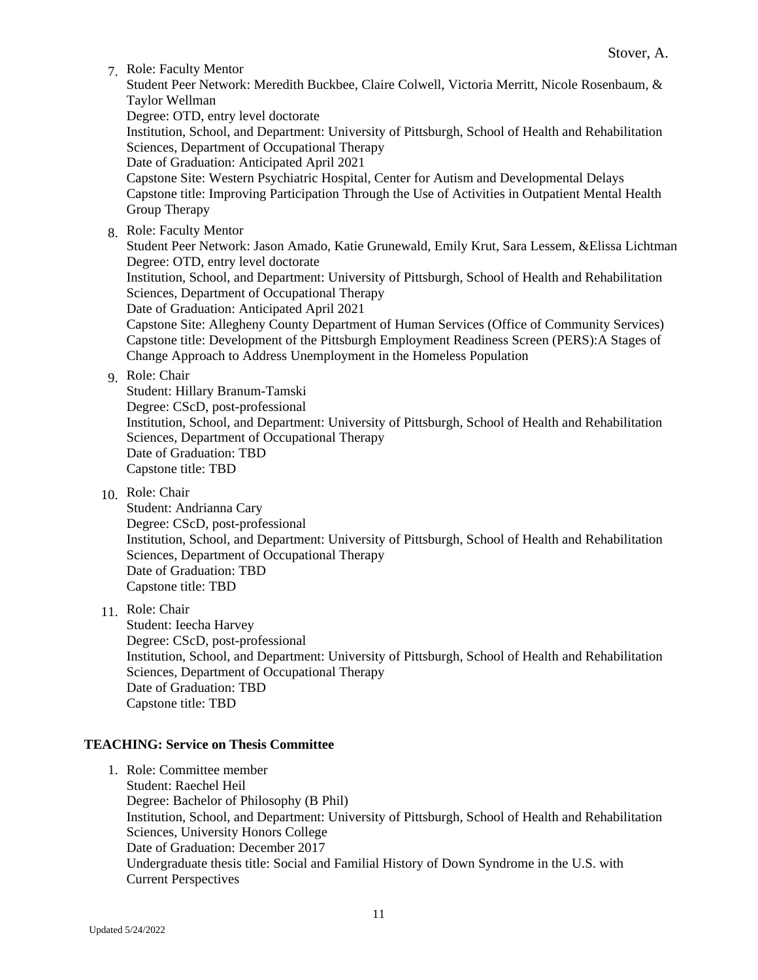7. Role: Faculty Mentor

Student Peer Network: Meredith Buckbee, Claire Colwell, Victoria Merritt, Nicole Rosenbaum, & Taylor Wellman Degree: OTD, entry level doctorate Institution, School, and Department: University of Pittsburgh, School of Health and Rehabilitation Sciences, Department of Occupational Therapy Date of Graduation: Anticipated April 2021 Capstone Site: Western Psychiatric Hospital, Center for Autism and Developmental Delays Capstone title: Improving Participation Through the Use of Activities in Outpatient Mental Health Group Therapy

8. Role: Faculty Mentor

Student Peer Network: Jason Amado, Katie Grunewald, Emily Krut, Sara Lessem, &Elissa Lichtman Degree: OTD, entry level doctorate

Institution, School, and Department: University of Pittsburgh, School of Health and Rehabilitation Sciences, Department of Occupational Therapy

Date of Graduation: Anticipated April 2021

Capstone Site: Allegheny County Department of Human Services (Office of Community Services) Capstone title: Development of the Pittsburgh Employment Readiness Screen (PERS):A Stages of Change Approach to Address Unemployment in the Homeless Population

#### 9. Role: Chair

Student: Hillary Branum-Tamski Degree: CScD, post-professional Institution, School, and Department: University of Pittsburgh, School of Health and Rehabilitation Sciences, Department of Occupational Therapy Date of Graduation: TBD Capstone title: TBD

10. Role: Chair

Student: Andrianna Cary Degree: CScD, post-professional Institution, School, and Department: University of Pittsburgh, School of Health and Rehabilitation Sciences, Department of Occupational Therapy Date of Graduation: TBD Capstone title: TBD

11. Role: Chair

Student: Ieecha Harvey Degree: CScD, post-professional Institution, School, and Department: University of Pittsburgh, School of Health and Rehabilitation Sciences, Department of Occupational Therapy Date of Graduation: TBD Capstone title: TBD

# **TEACHING: Service on Thesis Committee**

1. Role: Committee member Student: Raechel Heil Degree: Bachelor of Philosophy (B Phil) Institution, School, and Department: University of Pittsburgh, School of Health and Rehabilitation Sciences, University Honors College Date of Graduation: December 2017 Undergraduate thesis title: Social and Familial History of Down Syndrome in the U.S. with Current Perspectives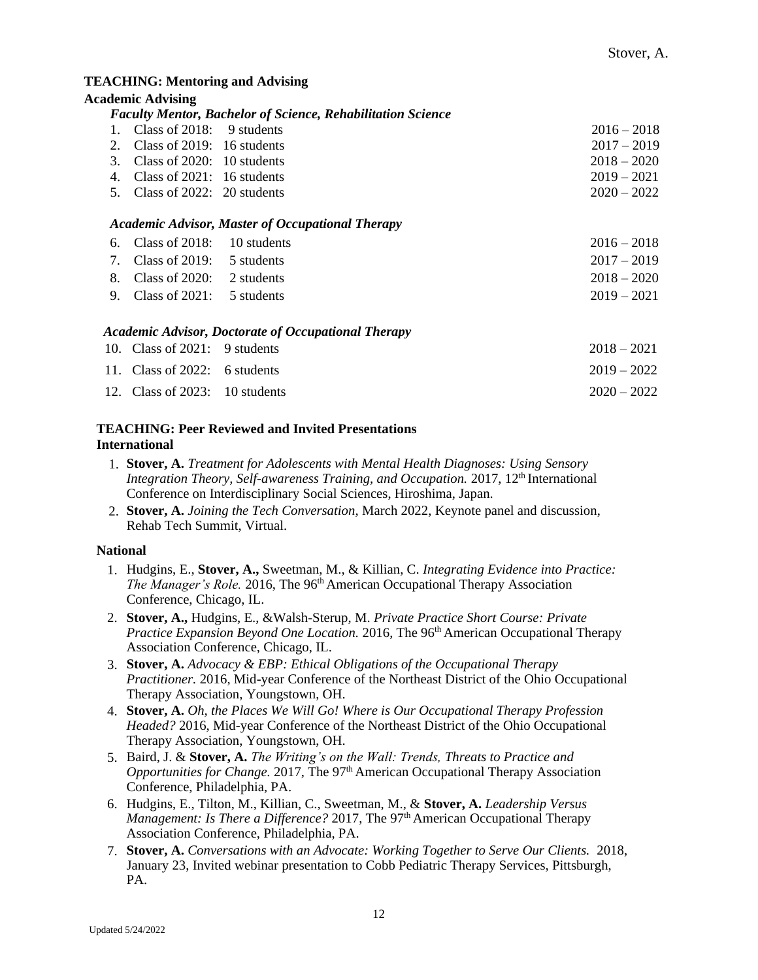#### **TEACHING: Mentoring and Advising**

|                      | <b>Academic Advising</b>         |                                                                    |               |
|----------------------|----------------------------------|--------------------------------------------------------------------|---------------|
|                      |                                  | <b>Faculty Mentor, Bachelor of Science, Rehabilitation Science</b> |               |
| $\mathbf{1}_{\cdot}$ | Class of 2018:                   | 9 students                                                         | $2016 - 2018$ |
| 2.                   | Class of $2019: 16$ students     |                                                                    | $2017 - 2019$ |
| 3.                   | Class of $2020: 10$ students     |                                                                    | $2018 - 2020$ |
| 4.                   | Class of $2021: 16$ students     |                                                                    | $2019 - 2021$ |
| 5.                   | Class of $2022: 20$ students     |                                                                    | $2020 - 2022$ |
|                      |                                  | <b>Academic Advisor, Master of Occupational Therapy</b>            |               |
| 6.                   | Class of $2018$ :                | 10 students                                                        | $2016 - 2018$ |
| 7.                   | Class of $2019$ :                | 5 students                                                         | $2017 - 2019$ |
| 8.                   | Class of $2020$ :                | 2 students                                                         | $2018 - 2020$ |
| 9.                   | Class of $2021$ :                | 5 students                                                         | $2019 - 2021$ |
|                      |                                  | <b>Academic Advisor, Doctorate of Occupational Therapy</b>         |               |
|                      | 10. Class of $2021: 9$ students  |                                                                    | $2018 - 2021$ |
|                      | 11. Class of 2022: 6 students    |                                                                    | $2019 - 2022$ |
|                      | 12. Class of $2023: 10$ students |                                                                    | $2020 - 2022$ |

# **TEACHING: Peer Reviewed and Invited Presentations International**

- 1. **Stover, A.** *Treatment for Adolescents with Mental Health Diagnoses: Using Sensory Integration Theory, Self-awareness Training, and Occupation.* 2017, 12<sup>th</sup> International Conference on Interdisciplinary Social Sciences, Hiroshima, Japan.
- 2. **Stover, A.** *Joining the Tech Conversation,* March 2022, Keynote panel and discussion, Rehab Tech Summit, Virtual.

# **National**

- 1. Hudgins, E., **Stover, A.,** Sweetman, M., & Killian, C. *Integrating Evidence into Practice: The Manager's Role.* 2016, The 96<sup>th</sup> American Occupational Therapy Association Conference, Chicago, IL.
- 2. **Stover, A.,** Hudgins, E., &Walsh-Sterup, M. *Private Practice Short Course: Private Practice Expansion Beyond One Location.* 2016, The 96<sup>th</sup> American Occupational Therapy Association Conference, Chicago, IL.
- 3. **Stover, A.** *Advocacy & EBP: Ethical Obligations of the Occupational Therapy Practitioner.* 2016, Mid-year Conference of the Northeast District of the Ohio Occupational Therapy Association, Youngstown, OH.
- 4. **Stover, A.** *Oh, the Places We Will Go! Where is Our Occupational Therapy Profession Headed?* 2016, Mid-year Conference of the Northeast District of the Ohio Occupational Therapy Association, Youngstown, OH.
- 5. Baird, J. & **Stover, A.** *The Writing's on the Wall: Trends, Threats to Practice and Opportunities for Change.* 2017, The 97th American Occupational Therapy Association Conference, Philadelphia, PA.
- 6. Hudgins, E., Tilton, M., Killian, C., Sweetman, M., & **Stover, A.** *Leadership Versus Management: Is There a Difference?* 2017, The 97<sup>th</sup> American Occupational Therapy Association Conference, Philadelphia, PA.
- 7. **Stover, A.** *Conversations with an Advocate: Working Together to Serve Our Clients.* 2018, January 23, Invited webinar presentation to Cobb Pediatric Therapy Services, Pittsburgh, PA.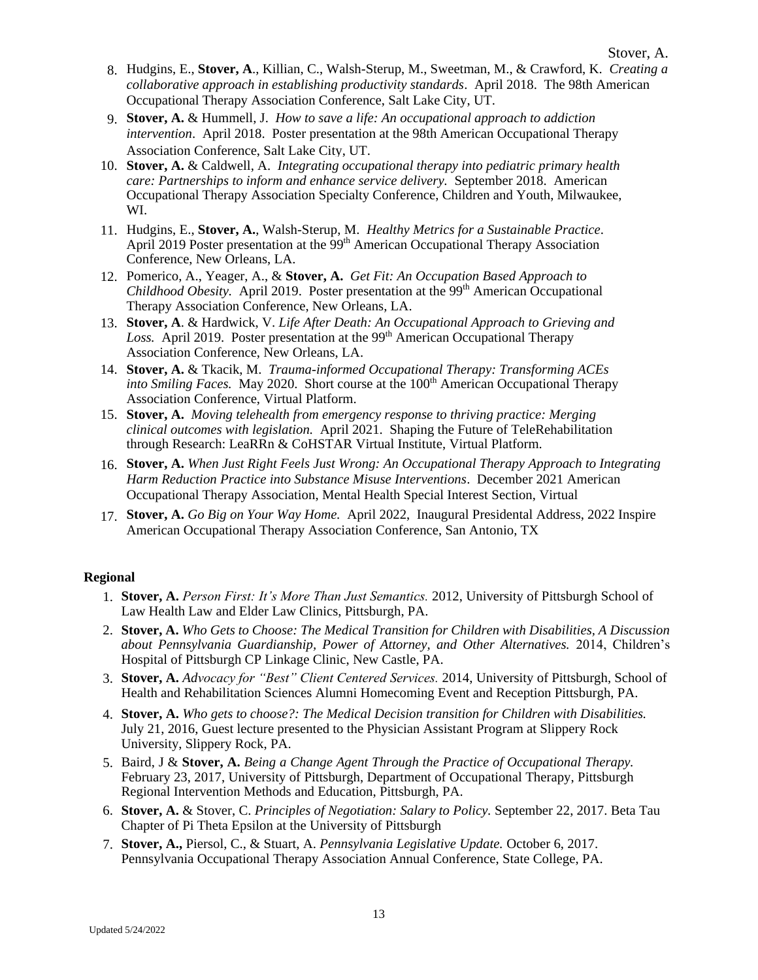- 8. Hudgins, E., **Stover, A**., Killian, C., Walsh-Sterup, M., Sweetman, M., & Crawford, K. *Creating a collaborative approach in establishing productivity standards*. April 2018. The 98th American Occupational Therapy Association Conference, Salt Lake City, UT.
- 9. **Stover, A.** & Hummell, J. *How to save a life: An occupational approach to addiction intervention*. April 2018. Poster presentation at the 98th American Occupational Therapy Association Conference, Salt Lake City, UT.
- 10. **Stover, A.** & Caldwell, A. *Integrating occupational therapy into pediatric primary health care: Partnerships to inform and enhance service delivery.* September 2018. American Occupational Therapy Association Specialty Conference, Children and Youth, Milwaukee, WI.
- 11. Hudgins, E., **Stover, A.**, Walsh-Sterup, M. *Healthy Metrics for a Sustainable Practice*. April 2019 Poster presentation at the 99<sup>th</sup> American Occupational Therapy Association Conference, New Orleans, LA.
- 12. Pomerico, A., Yeager, A., & **Stover, A.** *Get Fit: An Occupation Based Approach to Childhood Obesity.* April 2019. Poster presentation at the 99<sup>th</sup> American Occupational Therapy Association Conference, New Orleans, LA.
- 13. **Stover, A**. & Hardwick, V. *Life After Death: An Occupational Approach to Grieving and*  Loss. April 2019. Poster presentation at the 99<sup>th</sup> American Occupational Therapy Association Conference, New Orleans, LA.
- 14. **Stover, A.** & Tkacik, M. *Trauma-informed Occupational Therapy: Transforming ACEs into Smiling Faces.* May 2020. Short course at the 100<sup>th</sup> American Occupational Therapy Association Conference, Virtual Platform.
- 15. **Stover, A.** *Moving telehealth from emergency response to thriving practice: Merging clinical outcomes with legislation.* April 2021. Shaping the Future of TeleRehabilitation through Research: LeaRRn & CoHSTAR Virtual Institute, Virtual Platform.
- 16. **Stover, A.** *When Just Right Feels Just Wrong: An Occupational Therapy Approach to Integrating Harm Reduction Practice into Substance Misuse Interventions*. December 2021 American Occupational Therapy Association, Mental Health Special Interest Section, Virtual
- 17. **Stover, A.** *Go Big on Your Way Home.* April 2022, Inaugural Presidental Address, 2022 Inspire American Occupational Therapy Association Conference, San Antonio, TX

#### **Regional**

- 1. **Stover, A.** *Person First: It's More Than Just Semantics.* 2012, University of Pittsburgh School of Law Health Law and Elder Law Clinics, Pittsburgh, PA.
- 2. **Stover, A.** *Who Gets to Choose: The Medical Transition for Children with Disabilities, A Discussion about Pennsylvania Guardianship, Power of Attorney, and Other Alternatives.* 2014, Children's Hospital of Pittsburgh CP Linkage Clinic, New Castle, PA.
- 3. **Stover, A.** *Advocacy for "Best" Client Centered Services.* 2014, University of Pittsburgh, School of Health and Rehabilitation Sciences Alumni Homecoming Event and Reception Pittsburgh, PA.
- 4. **Stover, A.** *Who gets to choose?: The Medical Decision transition for Children with Disabilities.*  July 21, 2016, Guest lecture presented to the Physician Assistant Program at Slippery Rock University, Slippery Rock, PA.
- 5. Baird, J & **Stover, A.** *Being a Change Agent Through the Practice of Occupational Therapy.*  February 23, 2017, University of Pittsburgh, Department of Occupational Therapy, Pittsburgh Regional Intervention Methods and Education, Pittsburgh, PA.
- 6. **Stover, A.** & Stover, C. *Principles of Negotiation: Salary to Policy.* September 22, 2017. Beta Tau Chapter of Pi Theta Epsilon at the University of Pittsburgh
- 7. **Stover, A.,** Piersol, C., & Stuart, A. *Pennsylvania Legislative Update.* October 6, 2017. Pennsylvania Occupational Therapy Association Annual Conference, State College, PA.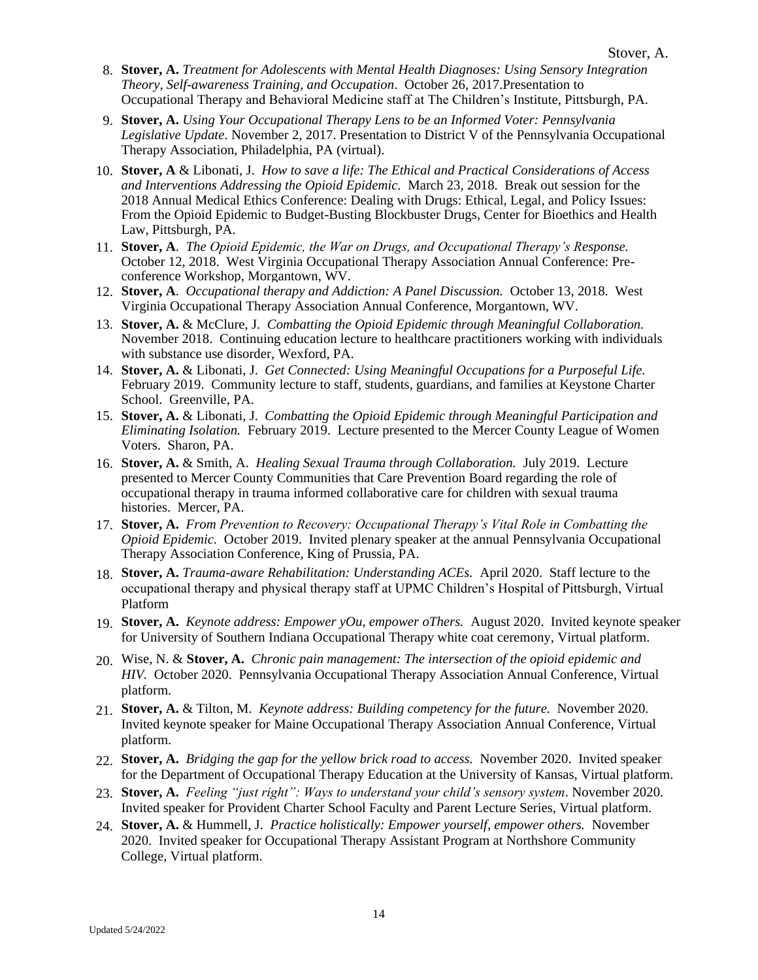- 8. **Stover, A.** *Treatment for Adolescents with Mental Health Diagnoses: Using Sensory Integration Theory, Self-awareness Training, and Occupation*. October 26, 2017.Presentation to Occupational Therapy and Behavioral Medicine staff at The Children's Institute, Pittsburgh, PA.
- 9. **Stover, A.** *Using Your Occupational Therapy Lens to be an Informed Voter: Pennsylvania Legislative Update*. November 2, 2017. Presentation to District V of the Pennsylvania Occupational Therapy Association, Philadelphia, PA (virtual).
- 10. **Stover, A** & Libonati, J. *How to save a life: The Ethical and Practical Considerations of Access and Interventions Addressing the Opioid Epidemic.* March 23, 2018. Break out session for the 2018 Annual Medical Ethics Conference: Dealing with Drugs: Ethical, Legal, and Policy Issues: From the Opioid Epidemic to Budget-Busting Blockbuster Drugs, Center for Bioethics and Health Law, Pittsburgh, PA.
- 11. **Stover, A**. *The Opioid Epidemic, the War on Drugs, and Occupational Therapy's Response.*  October 12, 2018. West Virginia Occupational Therapy Association Annual Conference: Preconference Workshop, Morgantown, WV.
- 12. **Stover, A**. *Occupational therapy and Addiction: A Panel Discussion.* October 13, 2018. West Virginia Occupational Therapy Association Annual Conference, Morgantown, WV.
- 13. **Stover, A.** & McClure, J. *Combatting the Opioid Epidemic through Meaningful Collaboration.* November 2018. Continuing education lecture to healthcare practitioners working with individuals with substance use disorder, Wexford, PA.
- 14. **Stover, A.** & Libonati, J. *Get Connected: Using Meaningful Occupations for a Purposeful Life.* February 2019. Community lecture to staff, students, guardians, and families at Keystone Charter School. Greenville, PA.
- 15. **Stover, A.** & Libonati, J. *Combatting the Opioid Epidemic through Meaningful Participation and Eliminating Isolation.* February 2019. Lecture presented to the Mercer County League of Women Voters. Sharon, PA.
- 16. **Stover, A.** & Smith, A. *Healing Sexual Trauma through Collaboration.* July 2019. Lecture presented to Mercer County Communities that Care Prevention Board regarding the role of occupational therapy in trauma informed collaborative care for children with sexual trauma histories. Mercer, PA.
- 17. **Stover, A.** *From Prevention to Recovery: Occupational Therapy's Vital Role in Combatting the Opioid Epidemic.* October 2019. Invited plenary speaker at the annual Pennsylvania Occupational Therapy Association Conference, King of Prussia, PA.
- 18. **Stover, A.** *Trauma-aware Rehabilitation: Understanding ACEs.* April 2020. Staff lecture to the occupational therapy and physical therapy staff at UPMC Children's Hospital of Pittsburgh, Virtual Platform
- 19. **Stover, A.** *Keynote address: Empower yOu, empower oThers.* August 2020. Invited keynote speaker for University of Southern Indiana Occupational Therapy white coat ceremony, Virtual platform.
- 20. Wise, N. & **Stover, A.** *Chronic pain management: The intersection of the opioid epidemic and HIV.* October 2020. Pennsylvania Occupational Therapy Association Annual Conference, Virtual platform.
- 21. **Stover, A.** & Tilton, M. *Keynote address: Building competency for the future.* November 2020. Invited keynote speaker for Maine Occupational Therapy Association Annual Conference, Virtual platform.
- 22. **Stover, A.** *Bridging the gap for the yellow brick road to access.* November 2020. Invited speaker for the Department of Occupational Therapy Education at the University of Kansas, Virtual platform.
- 23. **Stover, A.** *Feeling "just right": Ways to understand your child's sensory system*. November 2020. Invited speaker for Provident Charter School Faculty and Parent Lecture Series, Virtual platform.
- 24. **Stover, A.** & Hummell, J. *Practice holistically: Empower yourself, empower others.* November 2020. Invited speaker for Occupational Therapy Assistant Program at Northshore Community College, Virtual platform.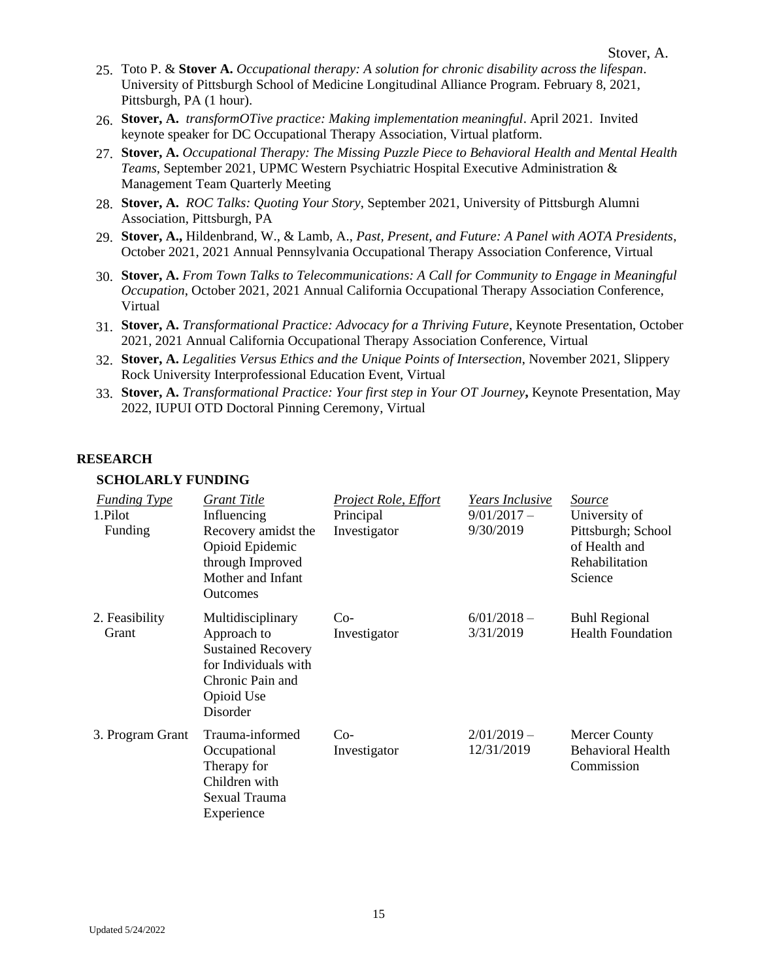- 25. Toto P. & **Stover A.** *Occupational therapy: A solution for chronic disability across the lifespan*. University of Pittsburgh School of Medicine Longitudinal Alliance Program. February 8, 2021, Pittsburgh, PA (1 hour).
- 26. **Stover, A.** *transformOTive practice: Making implementation meaningful*. April 2021. Invited keynote speaker for DC Occupational Therapy Association, Virtual platform.
- 27. **Stover, A.** *Occupational Therapy: The Missing Puzzle Piece to Behavioral Health and Mental Health Teams*, September 2021, UPMC Western Psychiatric Hospital Executive Administration & Management Team Quarterly Meeting
- 28. **Stover, A.** *ROC Talks: Quoting Your Story*, September 2021, University of Pittsburgh Alumni Association, Pittsburgh, PA
- 29. **Stover, A.,** Hildenbrand, W., & Lamb, A., *Past, Present, and Future: A Panel with AOTA Presidents*, October 2021, 2021 Annual Pennsylvania Occupational Therapy Association Conference, Virtual
- 30. **Stover, A.** *From Town Talks to Telecommunications: A Call for Community to Engage in Meaningful Occupation*, October 2021, 2021 Annual California Occupational Therapy Association Conference, Virtual
- 31. **Stover, A.** *Transformational Practice: Advocacy for a Thriving Future*, Keynote Presentation, October 2021, 2021 Annual California Occupational Therapy Association Conference, Virtual
- 32. **Stover, A.** *Legalities Versus Ethics and the Unique Points of Intersection*, November 2021, Slippery Rock University Interprofessional Education Event, Virtual
- 33. **Stover, A.** *Transformational Practice: Your first step in Your OT Journey***,** Keynote Presentation, May 2022, IUPUI OTD Doctoral Pinning Ceremony, Virtual

#### **RESEARCH**

#### **SCHOLARLY FUNDING**

| <b>Funding Type</b><br>1.Pilot<br>Funding | Grant Title<br>Influencing<br>Recovery amidst the<br>Opioid Epidemic<br>through Improved<br>Mother and Infant<br><b>Outcomes</b>    | <b>Project Role, Effort</b><br>Principal<br>Investigator | <i>Years Inclusive</i><br>$9/01/2017 -$<br>9/30/2019 | Source<br>University of<br>Pittsburgh; School<br>of Health and<br>Rehabilitation<br>Science |
|-------------------------------------------|-------------------------------------------------------------------------------------------------------------------------------------|----------------------------------------------------------|------------------------------------------------------|---------------------------------------------------------------------------------------------|
| 2. Feasibility<br>Grant                   | Multidisciplinary<br>Approach to<br><b>Sustained Recovery</b><br>for Individuals with<br>Chronic Pain and<br>Opioid Use<br>Disorder | $Co-$<br>Investigator                                    | $6/01/2018-$<br>3/31/2019                            | <b>Buhl Regional</b><br><b>Health Foundation</b>                                            |
| 3. Program Grant                          | Trauma-informed<br>Occupational<br>Therapy for<br>Children with<br>Sexual Trauma<br>Experience                                      | $Co-$<br>Investigator                                    | $2/01/2019 -$<br>12/31/2019                          | <b>Mercer County</b><br><b>Behavioral Health</b><br>Commission                              |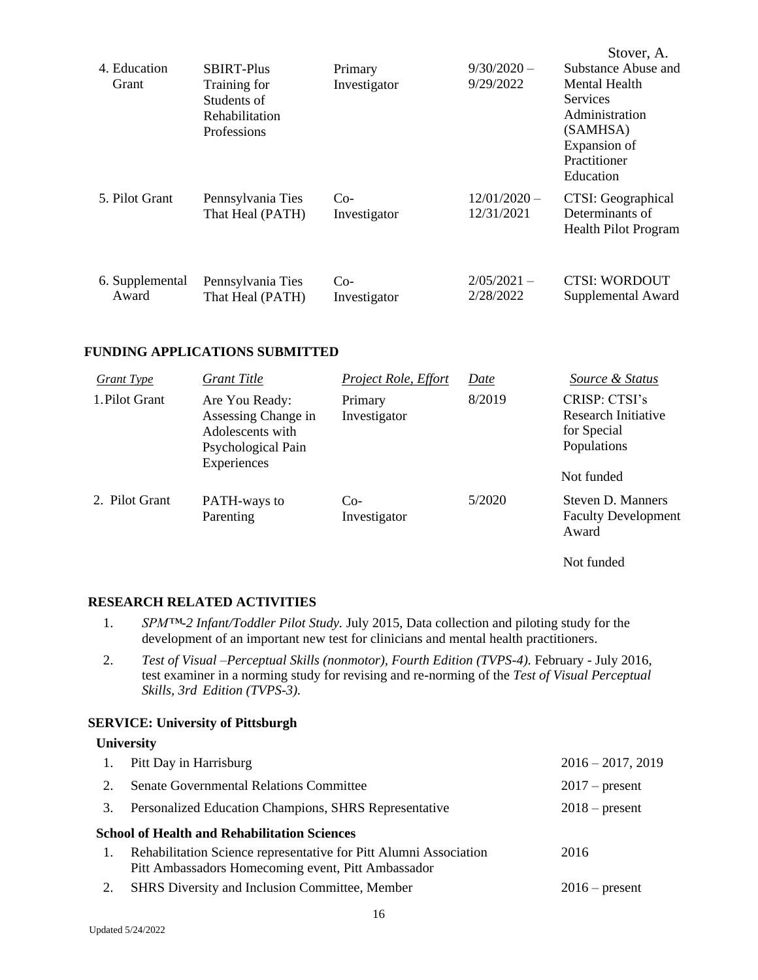| 4. Education<br><b>Grant</b> | <b>SBIRT-Plus</b><br>Training for<br>Students of<br>Rehabilitation<br>Professions | Primary<br>Investigator | $9/30/2020 -$<br>9/29/2022   | Stover, A.<br>Substance Abuse and<br>Mental Health<br><b>Services</b><br>Administration<br>(SAMHSA)<br>Expansion of<br>Practitioner<br>Education |
|------------------------------|-----------------------------------------------------------------------------------|-------------------------|------------------------------|--------------------------------------------------------------------------------------------------------------------------------------------------|
| 5. Pilot Grant               | Pennsylvania Ties<br>That Heal (PATH)                                             | $Co-$<br>Investigator   | $12/01/2020 -$<br>12/31/2021 | CTSI: Geographical<br>Determinants of<br><b>Health Pilot Program</b>                                                                             |
| 6. Supplemental<br>Award     | Pennsylvania Ties<br>That Heal (PATH)                                             | $Co-$<br>Investigator   | $2/05/2021 -$<br>2/28/2022   | <b>CTSI: WORDOUT</b><br>Supplemental Award                                                                                                       |

#### **FUNDING APPLICATIONS SUBMITTED**

| Grant Type     | Grant Title                                                                                    | Project Role, Effort    | Date   | Source & Status                                                    |
|----------------|------------------------------------------------------------------------------------------------|-------------------------|--------|--------------------------------------------------------------------|
| 1. Pilot Grant | Are You Ready:<br>Assessing Change in<br>Adolescents with<br>Psychological Pain<br>Experiences | Primary<br>Investigator | 8/2019 | CRISP: CTSI's<br>Research Initiative<br>for Special<br>Populations |
|                |                                                                                                |                         |        | Not funded                                                         |
| 2. Pilot Grant | PATH-ways to<br>Parenting                                                                      | $Co-$<br>Investigator   | 5/2020 | Steven D. Manners<br><b>Faculty Development</b><br>Award           |

Not funded

#### **RESEARCH RELATED ACTIVITIES**

- 1. *SPM™-2 Infant/Toddler Pilot Study.* July 2015, Data collection and piloting study for the development of an important new test for clinicians and mental health practitioners.
- 2. *Test of Visual –Perceptual Skills (nonmotor), Fourth Edition (TVPS-4).* February July 2016, test examiner in a norming study for revising and re-norming of the *Test of Visual Perceptual Skills, 3rd Edition (TVPS-3).*

#### **SERVICE: University of Pittsburgh**

# **University**

| <b>Senate Governmental Relations Committee</b><br>2.<br>$2017$ – present<br>Personalized Education Champions, SHRS Representative<br>$2018$ – present<br>3.<br><b>School of Health and Rehabilitation Sciences</b><br>Rehabilitation Science representative for Pitt Alumni Association<br>2016<br>1.<br>Pitt Ambassadors Homecoming event, Pitt Ambassador<br>SHRS Diversity and Inclusion Committee, Member<br>2.<br>$2016$ – present | 1. | Pitt Day in Harrisburg | $2016 - 2017, 2019$ |
|-----------------------------------------------------------------------------------------------------------------------------------------------------------------------------------------------------------------------------------------------------------------------------------------------------------------------------------------------------------------------------------------------------------------------------------------|----|------------------------|---------------------|
|                                                                                                                                                                                                                                                                                                                                                                                                                                         |    |                        |                     |
|                                                                                                                                                                                                                                                                                                                                                                                                                                         |    |                        |                     |
|                                                                                                                                                                                                                                                                                                                                                                                                                                         |    |                        |                     |
|                                                                                                                                                                                                                                                                                                                                                                                                                                         |    |                        |                     |
|                                                                                                                                                                                                                                                                                                                                                                                                                                         |    |                        |                     |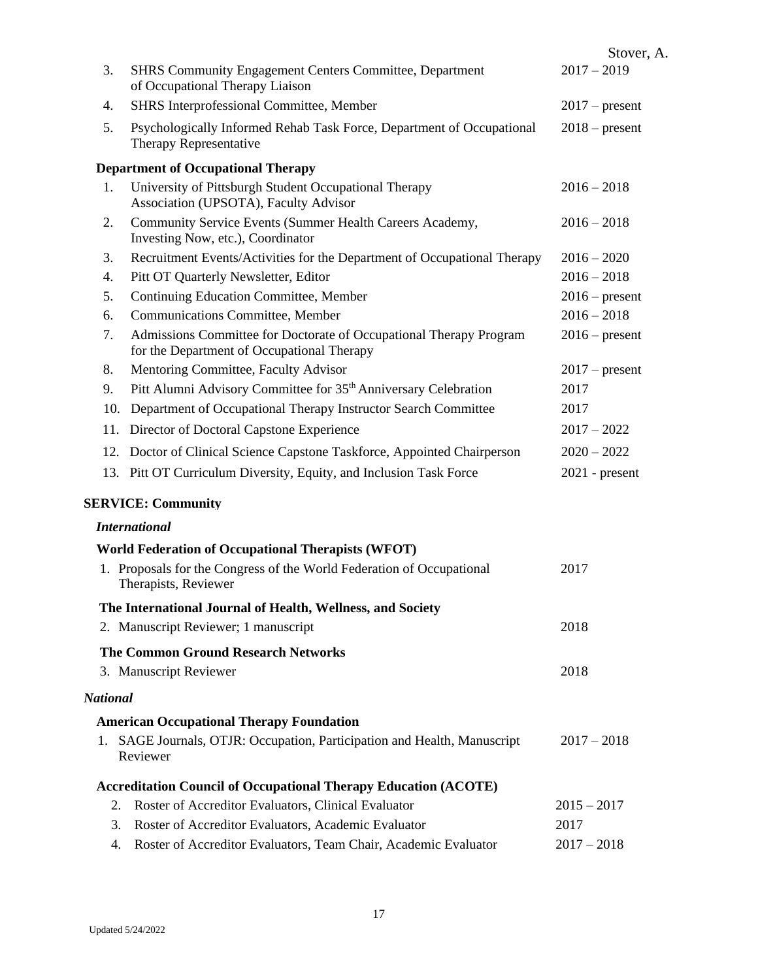|                 |                                                                                                                  | Stover, A.       |
|-----------------|------------------------------------------------------------------------------------------------------------------|------------------|
| 3.              | <b>SHRS Community Engagement Centers Committee, Department</b><br>of Occupational Therapy Liaison                | $2017 - 2019$    |
| 4.              | SHRS Interprofessional Committee, Member                                                                         | $2017$ – present |
| 5.              | Psychologically Informed Rehab Task Force, Department of Occupational<br>Therapy Representative                  | $2018$ – present |
|                 | <b>Department of Occupational Therapy</b>                                                                        |                  |
| 1.              | University of Pittsburgh Student Occupational Therapy<br>Association (UPSOTA), Faculty Advisor                   | $2016 - 2018$    |
| 2.              | Community Service Events (Summer Health Careers Academy,<br>Investing Now, etc.), Coordinator                    | $2016 - 2018$    |
| 3.              | Recruitment Events/Activities for the Department of Occupational Therapy                                         | $2016 - 2020$    |
| 4.              | Pitt OT Quarterly Newsletter, Editor                                                                             | $2016 - 2018$    |
| 5.              | Continuing Education Committee, Member                                                                           | $2016$ – present |
| 6.              | Communications Committee, Member                                                                                 | $2016 - 2018$    |
| 7.              | Admissions Committee for Doctorate of Occupational Therapy Program<br>for the Department of Occupational Therapy | $2016$ – present |
| 8.              | Mentoring Committee, Faculty Advisor                                                                             | $2017$ – present |
| 9.              | Pitt Alumni Advisory Committee for 35 <sup>th</sup> Anniversary Celebration                                      | 2017             |
| 10.             | Department of Occupational Therapy Instructor Search Committee                                                   | 2017             |
|                 | 11. Director of Doctoral Capstone Experience                                                                     | $2017 - 2022$    |
|                 | 12. Doctor of Clinical Science Capstone Taskforce, Appointed Chairperson                                         | $2020 - 2022$    |
|                 | 13. Pitt OT Curriculum Diversity, Equity, and Inclusion Task Force                                               | $2021$ - present |
|                 | <b>SERVICE: Community</b>                                                                                        |                  |
|                 | <b>International</b>                                                                                             |                  |
|                 | <b>World Federation of Occupational Therapists (WFOT)</b>                                                        |                  |
| 1.              | Proposals for the Congress of the World Federation of Occupational<br>Therapists, Reviewer                       | 2017             |
|                 | The International Journal of Health, Wellness, and Society                                                       |                  |
|                 | 2. Manuscript Reviewer; 1 manuscript                                                                             | 2018             |
|                 | <b>The Common Ground Research Networks</b>                                                                       |                  |
|                 | 3. Manuscript Reviewer                                                                                           | 2018             |
| <b>National</b> |                                                                                                                  |                  |
|                 | <b>American Occupational Therapy Foundation</b>                                                                  |                  |
|                 | 1. SAGE Journals, OTJR: Occupation, Participation and Health, Manuscript<br>Reviewer                             | $2017 - 2018$    |
|                 | <b>Accreditation Council of Occupational Therapy Education (ACOTE)</b>                                           |                  |
| 2.              | Roster of Accreditor Evaluators, Clinical Evaluator                                                              | $2015 - 2017$    |
| 3.              | Roster of Accreditor Evaluators, Academic Evaluator                                                              | 2017             |
| 4.              | Roster of Accreditor Evaluators, Team Chair, Academic Evaluator                                                  | $2017 - 2018$    |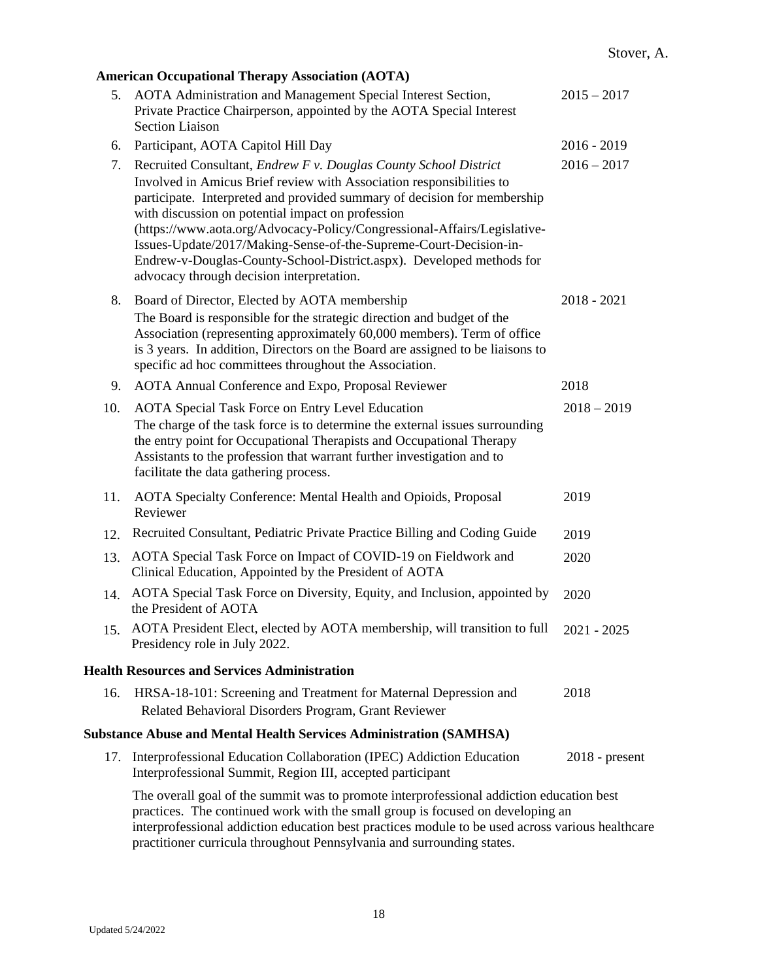|     | <b>American Occupational Therapy Association (AOTA)</b>                                                                                                                                                                                                                                                                                                                                                                                                                     |                  |
|-----|-----------------------------------------------------------------------------------------------------------------------------------------------------------------------------------------------------------------------------------------------------------------------------------------------------------------------------------------------------------------------------------------------------------------------------------------------------------------------------|------------------|
| 5.  | AOTA Administration and Management Special Interest Section,<br>Private Practice Chairperson, appointed by the AOTA Special Interest<br><b>Section Liaison</b>                                                                                                                                                                                                                                                                                                              | $2015 - 2017$    |
| 6.  | Participant, AOTA Capitol Hill Day                                                                                                                                                                                                                                                                                                                                                                                                                                          | $2016 - 2019$    |
| 7.  | Recruited Consultant, Endrew F v. Douglas County School District                                                                                                                                                                                                                                                                                                                                                                                                            | $2016 - 2017$    |
|     | Involved in Amicus Brief review with Association responsibilities to<br>participate. Interpreted and provided summary of decision for membership<br>with discussion on potential impact on profession<br>(https://www.aota.org/Advocacy-Policy/Congressional-Affairs/Legislative-<br>Issues-Update/2017/Making-Sense-of-the-Supreme-Court-Decision-in-<br>Endrew-v-Douglas-County-School-District.aspx). Developed methods for<br>advocacy through decision interpretation. |                  |
| 8.  | Board of Director, Elected by AOTA membership<br>The Board is responsible for the strategic direction and budget of the                                                                                                                                                                                                                                                                                                                                                     | $2018 - 2021$    |
|     | Association (representing approximately 60,000 members). Term of office<br>is 3 years. In addition, Directors on the Board are assigned to be liaisons to<br>specific ad hoc committees throughout the Association.                                                                                                                                                                                                                                                         |                  |
| 9.  | AOTA Annual Conference and Expo, Proposal Reviewer                                                                                                                                                                                                                                                                                                                                                                                                                          | 2018             |
| 10. | <b>AOTA Special Task Force on Entry Level Education</b>                                                                                                                                                                                                                                                                                                                                                                                                                     | $2018 - 2019$    |
|     | The charge of the task force is to determine the external issues surrounding<br>the entry point for Occupational Therapists and Occupational Therapy<br>Assistants to the profession that warrant further investigation and to<br>facilitate the data gathering process.                                                                                                                                                                                                    |                  |
| 11. | AOTA Specialty Conference: Mental Health and Opioids, Proposal<br>Reviewer                                                                                                                                                                                                                                                                                                                                                                                                  | 2019             |
| 12. | Recruited Consultant, Pediatric Private Practice Billing and Coding Guide                                                                                                                                                                                                                                                                                                                                                                                                   | 2019             |
| 13. | AOTA Special Task Force on Impact of COVID-19 on Fieldwork and<br>Clinical Education, Appointed by the President of AOTA                                                                                                                                                                                                                                                                                                                                                    | 2020             |
| 14. | AOTA Special Task Force on Diversity, Equity, and Inclusion, appointed by<br>the President of AOTA                                                                                                                                                                                                                                                                                                                                                                          | 2020             |
|     | 15. AOTA President Elect, elected by AOTA membership, will transition to full<br>Presidency role in July 2022.                                                                                                                                                                                                                                                                                                                                                              | $2021 - 2025$    |
|     | <b>Health Resources and Services Administration</b>                                                                                                                                                                                                                                                                                                                                                                                                                         |                  |
| 16. | HRSA-18-101: Screening and Treatment for Maternal Depression and<br>Related Behavioral Disorders Program, Grant Reviewer                                                                                                                                                                                                                                                                                                                                                    | 2018             |
|     | <b>Substance Abuse and Mental Health Services Administration (SAMHSA)</b>                                                                                                                                                                                                                                                                                                                                                                                                   |                  |
|     | 17. Interprofessional Education Collaboration (IPEC) Addiction Education<br>Interprofessional Summit, Region III, accepted participant                                                                                                                                                                                                                                                                                                                                      | $2018$ - present |
|     | The overall goal of the summit was to promote interprofessional addiction education best<br>practices. The continued work with the small group is focused on developing an<br>interprofessional addiction education best practices module to be used across various healthcare<br>practitioner curricula throughout Pennsylvania and surrounding states.                                                                                                                    |                  |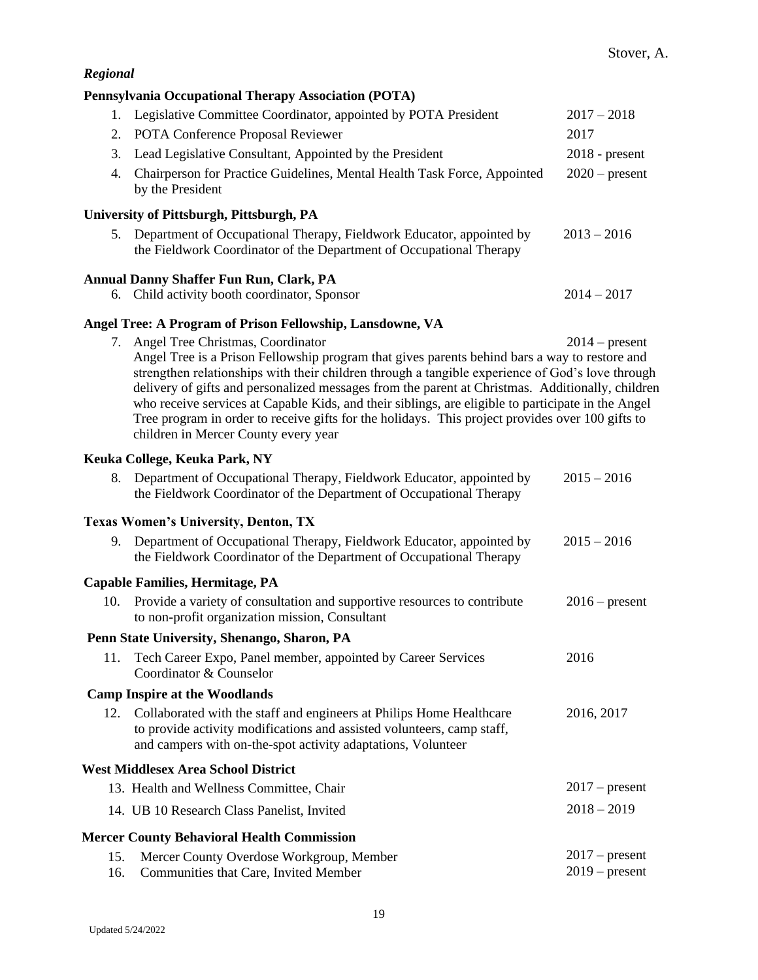|            | Pennsylvania Occupational Therapy Association (POTA)                                                                                                                                                                                                                                                                                                                                                                                                                                                                                                                                            |                                      |
|------------|-------------------------------------------------------------------------------------------------------------------------------------------------------------------------------------------------------------------------------------------------------------------------------------------------------------------------------------------------------------------------------------------------------------------------------------------------------------------------------------------------------------------------------------------------------------------------------------------------|--------------------------------------|
| 1.         | Legislative Committee Coordinator, appointed by POTA President                                                                                                                                                                                                                                                                                                                                                                                                                                                                                                                                  | $2017 - 2018$                        |
| 2.         | POTA Conference Proposal Reviewer                                                                                                                                                                                                                                                                                                                                                                                                                                                                                                                                                               | 2017                                 |
| 3.         | Lead Legislative Consultant, Appointed by the President                                                                                                                                                                                                                                                                                                                                                                                                                                                                                                                                         | $2018$ - present                     |
| 4.         | Chairperson for Practice Guidelines, Mental Health Task Force, Appointed<br>by the President                                                                                                                                                                                                                                                                                                                                                                                                                                                                                                    | $2020$ – present                     |
|            | University of Pittsburgh, Pittsburgh, PA                                                                                                                                                                                                                                                                                                                                                                                                                                                                                                                                                        |                                      |
|            | 5. Department of Occupational Therapy, Fieldwork Educator, appointed by<br>the Fieldwork Coordinator of the Department of Occupational Therapy                                                                                                                                                                                                                                                                                                                                                                                                                                                  | $2013 - 2016$                        |
|            | Annual Danny Shaffer Fun Run, Clark, PA                                                                                                                                                                                                                                                                                                                                                                                                                                                                                                                                                         |                                      |
|            | 6. Child activity booth coordinator, Sponsor                                                                                                                                                                                                                                                                                                                                                                                                                                                                                                                                                    | $2014 - 2017$                        |
|            | Angel Tree: A Program of Prison Fellowship, Lansdowne, VA                                                                                                                                                                                                                                                                                                                                                                                                                                                                                                                                       |                                      |
|            | 7. Angel Tree Christmas, Coordinator<br>Angel Tree is a Prison Fellowship program that gives parents behind bars a way to restore and<br>strengthen relationships with their children through a tangible experience of God's love through<br>delivery of gifts and personalized messages from the parent at Christmas. Additionally, children<br>who receive services at Capable Kids, and their siblings, are eligible to participate in the Angel<br>Tree program in order to receive gifts for the holidays. This project provides over 100 gifts to<br>children in Mercer County every year | $2014$ – present                     |
|            | Keuka College, Keuka Park, NY                                                                                                                                                                                                                                                                                                                                                                                                                                                                                                                                                                   |                                      |
| 8.         | Department of Occupational Therapy, Fieldwork Educator, appointed by<br>the Fieldwork Coordinator of the Department of Occupational Therapy                                                                                                                                                                                                                                                                                                                                                                                                                                                     | $2015 - 2016$                        |
|            | <b>Texas Women's University, Denton, TX</b>                                                                                                                                                                                                                                                                                                                                                                                                                                                                                                                                                     |                                      |
| 9.         | Department of Occupational Therapy, Fieldwork Educator, appointed by<br>the Fieldwork Coordinator of the Department of Occupational Therapy                                                                                                                                                                                                                                                                                                                                                                                                                                                     | $2015 - 2016$                        |
|            | <b>Capable Families, Hermitage, PA</b>                                                                                                                                                                                                                                                                                                                                                                                                                                                                                                                                                          |                                      |
| 10.        | Provide a variety of consultation and supportive resources to contribute<br>to non-profit organization mission, Consultant                                                                                                                                                                                                                                                                                                                                                                                                                                                                      | $2016$ – present                     |
|            | Penn State University, Shenango, Sharon, PA                                                                                                                                                                                                                                                                                                                                                                                                                                                                                                                                                     |                                      |
| 11.        | Tech Career Expo, Panel member, appointed by Career Services<br>Coordinator & Counselor                                                                                                                                                                                                                                                                                                                                                                                                                                                                                                         | 2016                                 |
|            | <b>Camp Inspire at the Woodlands</b>                                                                                                                                                                                                                                                                                                                                                                                                                                                                                                                                                            |                                      |
| 12.        | Collaborated with the staff and engineers at Philips Home Healthcare<br>to provide activity modifications and assisted volunteers, camp staff,<br>and campers with on-the-spot activity adaptations, Volunteer                                                                                                                                                                                                                                                                                                                                                                                  | 2016, 2017                           |
|            | <b>West Middlesex Area School District</b>                                                                                                                                                                                                                                                                                                                                                                                                                                                                                                                                                      |                                      |
|            | 13. Health and Wellness Committee, Chair                                                                                                                                                                                                                                                                                                                                                                                                                                                                                                                                                        | $2017$ – present                     |
|            | 14. UB 10 Research Class Panelist, Invited                                                                                                                                                                                                                                                                                                                                                                                                                                                                                                                                                      | $2018 - 2019$                        |
|            | <b>Mercer County Behavioral Health Commission</b>                                                                                                                                                                                                                                                                                                                                                                                                                                                                                                                                               |                                      |
| 15.<br>16. | Mercer County Overdose Workgroup, Member<br>Communities that Care, Invited Member                                                                                                                                                                                                                                                                                                                                                                                                                                                                                                               | $2017$ – present<br>$2019$ – present |

*Regional*